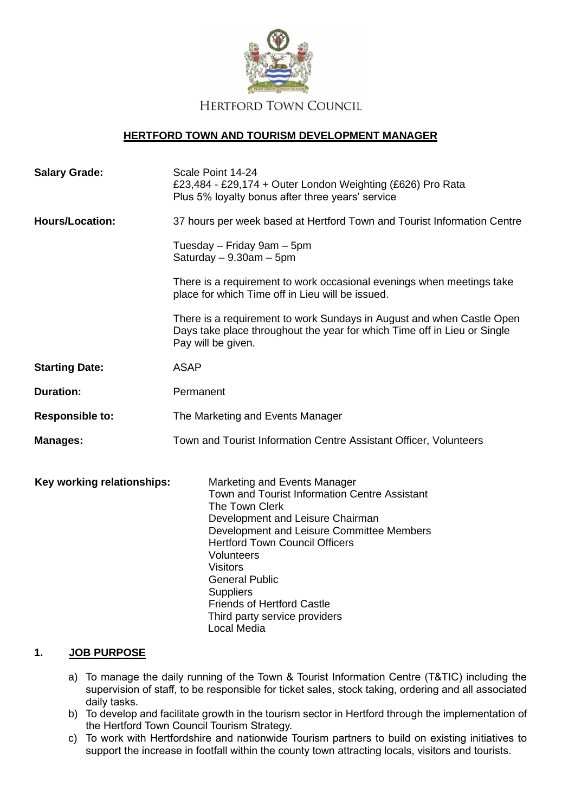

## **HERTFORD TOWN AND TOURISM DEVELOPMENT MANAGER**

| <b>Salary Grade:</b>       | Scale Point 14-24<br>£23,484 - £29,174 + Outer London Weighting (£626) Pro Rata<br>Plus 5% loyalty bonus after three years' service                                                                                                                                                                                                                                                          |
|----------------------------|----------------------------------------------------------------------------------------------------------------------------------------------------------------------------------------------------------------------------------------------------------------------------------------------------------------------------------------------------------------------------------------------|
| <b>Hours/Location:</b>     | 37 hours per week based at Hertford Town and Tourist Information Centre                                                                                                                                                                                                                                                                                                                      |
|                            | Tuesday – Friday 9am – 5pm<br>Saturday $-9.30$ am $-5$ pm                                                                                                                                                                                                                                                                                                                                    |
|                            | There is a requirement to work occasional evenings when meetings take<br>place for which Time off in Lieu will be issued.                                                                                                                                                                                                                                                                    |
|                            | There is a requirement to work Sundays in August and when Castle Open<br>Days take place throughout the year for which Time off in Lieu or Single<br>Pay will be given.                                                                                                                                                                                                                      |
| <b>Starting Date:</b>      | <b>ASAP</b>                                                                                                                                                                                                                                                                                                                                                                                  |
| <b>Duration:</b>           | Permanent                                                                                                                                                                                                                                                                                                                                                                                    |
| <b>Responsible to:</b>     | The Marketing and Events Manager                                                                                                                                                                                                                                                                                                                                                             |
| <b>Manages:</b>            | Town and Tourist Information Centre Assistant Officer, Volunteers                                                                                                                                                                                                                                                                                                                            |
| Key working relationships: | Marketing and Events Manager<br>Town and Tourist Information Centre Assistant<br>The Town Clerk<br>Development and Leisure Chairman<br>Development and Leisure Committee Members<br><b>Hertford Town Council Officers</b><br>Volunteers<br><b>Visitors</b><br><b>General Public</b><br><b>Suppliers</b><br><b>Friends of Hertford Castle</b><br>Third party service providers<br>Local Media |

#### **1. JOB PURPOSE**

- a) To manage the daily running of the Town & Tourist Information Centre (T&TIC) including the supervision of staff, to be responsible for ticket sales, stock taking, ordering and all associated daily tasks.
- b) To develop and facilitate growth in the tourism sector in Hertford through the implementation of the Hertford Town Council Tourism Strategy.
- c) To work with Hertfordshire and nationwide Tourism partners to build on existing initiatives to support the increase in footfall within the county town attracting locals, visitors and tourists.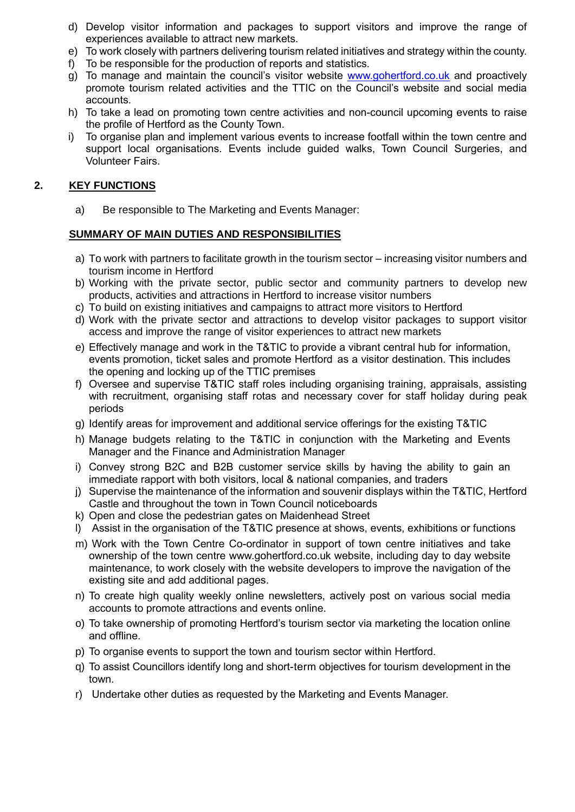- d) Develop visitor information and packages to support visitors and improve the range of experiences available to attract new markets.
- e) To work closely with partners delivering tourism related initiatives and strategy within the county.
- f) To be responsible for the production of reports and statistics.
- g) To manage and maintain the council's visitor website [www.gohertford.co.uk](http://www.gohertford.co.uk/) and proactively promote tourism related activities and the TTIC on the Council's website and social media accounts.
- h) To take a lead on promoting town centre activities and non-council upcoming events to raise the profile of Hertford as the County Town.
- i) To organise plan and implement various events to increase footfall within the town centre and support local organisations. Events include guided walks, Town Council Surgeries, and Volunteer Fairs.

# **2. KEY FUNCTIONS**

a) Be responsible to The Marketing and Events Manager:

## **SUMMARY OF MAIN DUTIES AND RESPONSIBILITIES**

- a) To work with partners to facilitate growth in the tourism sector increasing visitor numbers and tourism income in Hertford
- b) Working with the private sector, public sector and community partners to develop new products, activities and attractions in Hertford to increase visitor numbers
- c) To build on existing initiatives and campaigns to attract more visitors to Hertford
- d) Work with the private sector and attractions to develop visitor packages to support visitor access and improve the range of visitor experiences to attract new markets
- e) Effectively manage and work in the T&TIC to provide a vibrant central hub for information, events promotion, ticket sales and promote Hertford as a visitor destination. This includes the opening and locking up of the TTIC premises
- f) Oversee and supervise T&TIC staff roles including organising training, appraisals, assisting with recruitment, organising staff rotas and necessary cover for staff holiday during peak periods
- g) Identify areas for improvement and additional service offerings for the existing T&TIC
- h) Manage budgets relating to the T&TIC in conjunction with the Marketing and Events Manager and the Finance and Administration Manager
- i) Convey strong B2C and B2B customer service skills by having the ability to gain an immediate rapport with both visitors, local & national companies, and traders
- j) Supervise the maintenance of the information and souvenir displays within the T&TIC, Hertford Castle and throughout the town in Town Council noticeboards
- k) Open and close the pedestrian gates on Maidenhead Street
- l) Assist in the organisation of the T&TIC presence at shows, events, exhibitions or functions
- m) Work with the Town Centre Co-ordinator in support of town centre initiatives and take ownership of the town centre [www.gohertford.co.uk](http://www.gohertford.co.uk/) website, including day to day website maintenance, to work closely with the website developers to improve the navigation of the existing site and add additional pages.
- n) To create high quality weekly online newsletters, actively post on various social media accounts to promote attractions and events online.
- o) To take ownership of promoting Hertford's tourism sector via marketing the location online and offline.
- p) To organise events to support the town and tourism sector within Hertford.
- q) To assist Councillors identify long and short-term objectives for tourism development in the town.
- r) Undertake other duties as requested by the Marketing and Events Manager.